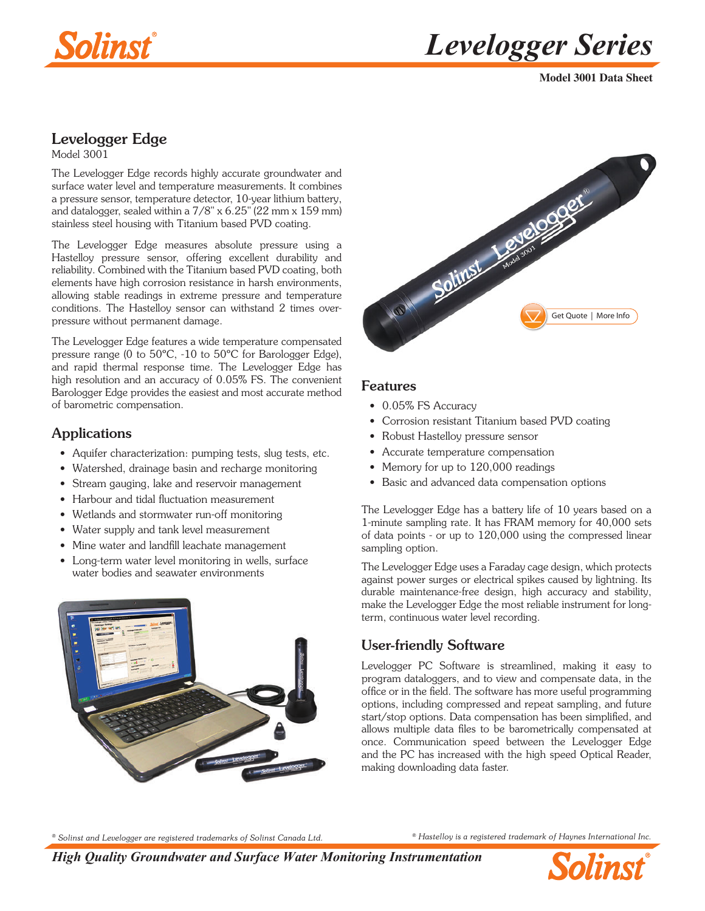



**Model 3001 Data Sheet**

# Levelogger Edge

Model 3001

The Levelogger Edge records highly accurate groundwater and surface water level and temperature measurements. It combines a pressure sensor, temperature detector, 10-year lithium battery, and datalogger, sealed within a 7/8" x 6.25" (22 mm x 159 mm) stainless steel housing with Titanium based PVD coating.

The Levelogger Edge measures absolute pressure using a Hastelloy pressure sensor, offering excellent durability and reliability. Combined with the Titanium based PVD coating, both elements have high corrosion resistance in harsh environments, allowing stable readings in extreme pressure and temperature conditions. The Hastelloy sensor can withstand 2 times overpressure without permanent damage.

The Levelogger Edge features a wide temperature compensated pressure range (0 to 50ºC, -10 to 50ºC for Barologger Edge), and rapid thermal response time. The Levelogger Edge has high resolution and an accuracy of 0.05% FS. The convenient Barologger Edge provides the easiest and most accurate method of barometric compensation.

#### Applications

- Aquifer characterization: pumping tests, slug tests, etc.
- Watershed, drainage basin and recharge monitoring
- Stream gauging, lake and reservoir management
- Harbour and tidal fluctuation measurement
- Wetlands and stormwater run-off monitoring
- Water supply and tank level measurement
- Mine water and landfill leachate management
- Long-term water level monitoring in wells, surface water bodies and seawater environments





#### Features

- 0.05% FS Accuracy
- Corrosion resistant Titanium based PVD coating
- Robust Hastelloy pressure sensor
- Accurate temperature compensation
- Memory for up to 120,000 readings
- Basic and advanced data compensation options

The Levelogger Edge has a battery life of 10 years based on a 1-minute sampling rate. It has FRAM memory for 40,000 sets of data points - or up to 120,000 using the compressed linear sampling option.

The Levelogger Edge uses a Faraday cage design, which protects against power surges or electrical spikes caused by lightning. Its durable maintenance-free design, high accuracy and stability, make the Levelogger Edge the most reliable instrument for longterm, continuous water level recording.

### User-friendly Software

Levelogger PC Software is streamlined, making it easy to program dataloggers, and to view and compensate data, in the office or in the field. The software has more useful programming options, including compressed and repeat sampling, and future start/stop options. Data compensation has been simplified, and allows multiple data files to be barometrically compensated at once. Communication speed between the Levelogger Edge and the PC has increased with the high speed Optical Reader, making downloading data faster.

*® Solinst and Levelogger are registered trademarks of Solinst Canada Ltd.*

*® Hastelloy is a registered trademark of Haynes International Inc.*

*High Quality Groundwater and Surface Water Monitoring Instrumentation*

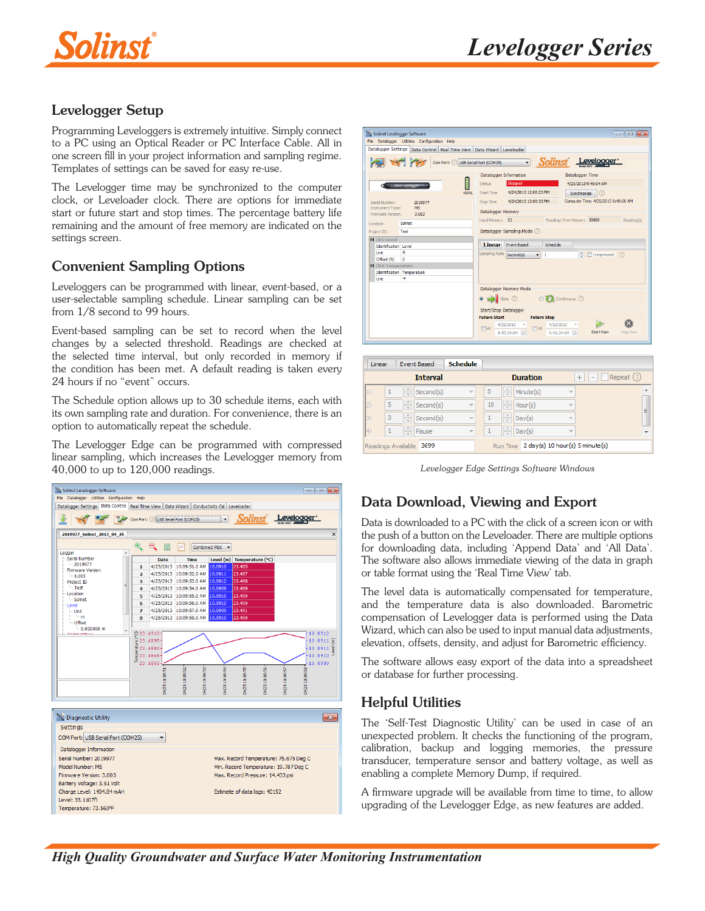

## Levelogger Setup

Programming Leveloggers is extremely intuitive. Simply connect to a PC using an Optical Reader or PC Interface Cable. All in one screen fill in your project information and sampling regime. Templates of settings can be saved for easy re-use.

The Levelogger time may be synchronized to the computer clock, or Leveloader clock. There are options for immediate start or future start and stop times. The percentage battery life remaining and the amount of free memory are indicated on the settings screen.

## Convenient Sampling Options

Leveloggers can be programmed with linear, event-based, or a user-selectable sampling schedule. Linear sampling can be set from 1/8 second to 99 hours.

Event-based sampling can be set to record when the level changes by a selected threshold. Readings are checked at the selected time interval, but only recorded in memory if the condition has been met. A default reading is taken every 24 hours if no "event" occurs.

The Schedule option allows up to 30 schedule items, each with its own sampling rate and duration. For convenience, there is an option to automatically repeat the schedule.

The Levelogger Edge can be programmed with compressed linear sampling, which increases the Levelogger memory from 40,000 to up to 120,000 readings.



| Solinst Levelogger Software                                                    |                                     | $\blacksquare$ $\blacksquare$ $\blacksquare$                                 |  |  |  |  |
|--------------------------------------------------------------------------------|-------------------------------------|------------------------------------------------------------------------------|--|--|--|--|
| File Datalogger Utilities Configuration Help                                   |                                     |                                                                              |  |  |  |  |
| Datalogger Settings   Data Control   Real Time View   Data Wizard   Leveloader |                                     |                                                                              |  |  |  |  |
| Solinst Levelogger*                                                            |                                     |                                                                              |  |  |  |  |
|                                                                                | Datalogger Information              | Datalogger Time                                                              |  |  |  |  |
| ▌<br>Sales Levelopper                                                          | Stopped<br>Status                   | 4/25/2013 9:48:04 AM                                                         |  |  |  |  |
| 100%                                                                           | Start Time 4/24/2013 12:00:23 PM    | (2)<br>Synchronize                                                           |  |  |  |  |
| Serial Number:<br>2019977                                                      | 4/24/2013 12:00:33 PM<br>Stop Time  | Computer Time: 4/25/2013 9:48:06 AM                                          |  |  |  |  |
| M <sub>5</sub><br>Instrument Type:<br>Firmware Version:<br>3.003               | Datalogger Memory                   |                                                                              |  |  |  |  |
|                                                                                | Used Memory 11                      | Reading (Free Memory 39989<br>Reading(s)                                     |  |  |  |  |
| Solinst<br>Location:                                                           |                                     |                                                                              |  |  |  |  |
| Datalogger Sampling Mode (?)<br>Test<br>Project ID:                            |                                     |                                                                              |  |  |  |  |
| $H$ Ch1: Level                                                                 |                                     |                                                                              |  |  |  |  |
| <b>Identification Level</b>                                                    | <b>Linear</b><br><b>Fvent Based</b> | Schedule.                                                                    |  |  |  |  |
| $\ddot{H}$<br><b>Linit</b>                                                     | Sampling Rate Second(s)             | $\Rightarrow$ $\Box$ Compressed $\bigcirc$<br>$\mathbf{1}$<br>×.             |  |  |  |  |
| Offset (ft)<br>n                                                               |                                     |                                                                              |  |  |  |  |
| 日 Ch2: Temperature                                                             |                                     |                                                                              |  |  |  |  |
| Identification Temperature                                                     |                                     |                                                                              |  |  |  |  |
| ሞ<br>Unit                                                                      |                                     |                                                                              |  |  |  |  |
|                                                                                | Datalogger Memory Mode              |                                                                              |  |  |  |  |
| ● Slate ⑦    ◎ <i>2</i> 2 Continuous ②                                         |                                     |                                                                              |  |  |  |  |
| Start/Stop Datalogger                                                          |                                     |                                                                              |  |  |  |  |
|                                                                                | <b>Future Start</b>                 | <b>Future Stop</b>                                                           |  |  |  |  |
|                                                                                | 4/25/2013<br>$F$ At<br>9:45:34 AM   | 4/25/2013<br>$\n  At\n$<br><b>Start Now</b><br><b>Stop Now</b><br>9:45:34 AM |  |  |  |  |

| Linear      |   | <b>Event Based</b>         | <b>Schedule</b>          |              |                                          |                          |                                |
|-------------|---|----------------------------|--------------------------|--------------|------------------------------------------|--------------------------|--------------------------------|
|             |   | <b>Interval</b>            |                          |              | <b>Duration</b>                          | $\ddot{}$                | $Repest$ (?)<br>$\overline{a}$ |
|             | u | Second(s)                  | $\overline{\phantom{a}}$ | 5            | $\frac{1}{x}$<br>Minute(s)               | $\overline{\phantom{a}}$ | ۰                              |
| $ 2\rangle$ | 5 | Second(s)                  | $\overline{\mathbf{v}}$  | 10           | $\frac{1}{\sqrt{2}}$<br>Hour(s)          | $\overline{\phantom{a}}$ | Ξ                              |
| $ _{3)}$    | 3 | Second(s)                  | $\overline{\phantom{a}}$ | $\mathbf{1}$ | $\frac{1}{\sqrt{2}}$<br>Day(s)           | $\sim$                   |                                |
| $ 4\rangle$ |   | $\left( -\right)$<br>Pause | $\overline{\phantom{a}}$ | $\mathbf{1}$ | ÷<br>Day(s)                              | $\overline{\mathbf{v}}$  |                                |
|             |   | 3699<br>Readings Available |                          |              | Run Time 2 day(s) 10 hour(s) 5 minute(s) |                          |                                |

*Levelogger Edge Settings Software Windows*

# Data Download, Viewing and Export

Data is downloaded to a PC with the click of a screen icon or with the push of a button on the Leveloader. There are multiple options for downloading data, including 'Append Data' and 'All Data'. The software also allows immediate viewing of the data in graph or table format using the 'Real Time View' tab.

The level data is automatically compensated for temperature, and the temperature data is also downloaded. Barometric compensation of Levelogger data is performed using the Data Wizard, which can also be used to input manual data adjustments, elevation, offsets, density, and adjust for Barometric efficiency.

The software allows easy export of the data into a spreadsheet or database for further processing.

### Helpful Utilities

The 'Self-Test Diagnostic Utility' can be used in case of an unexpected problem. It checks the functioning of the program, calibration, backup and logging memories, the pressure transducer, temperature sensor and battery voltage, as well as enabling a complete Memory Dump, if required.

A firmware upgrade will be available from time to time, to allow upgrading of the Levelogger Edge, as new features are added.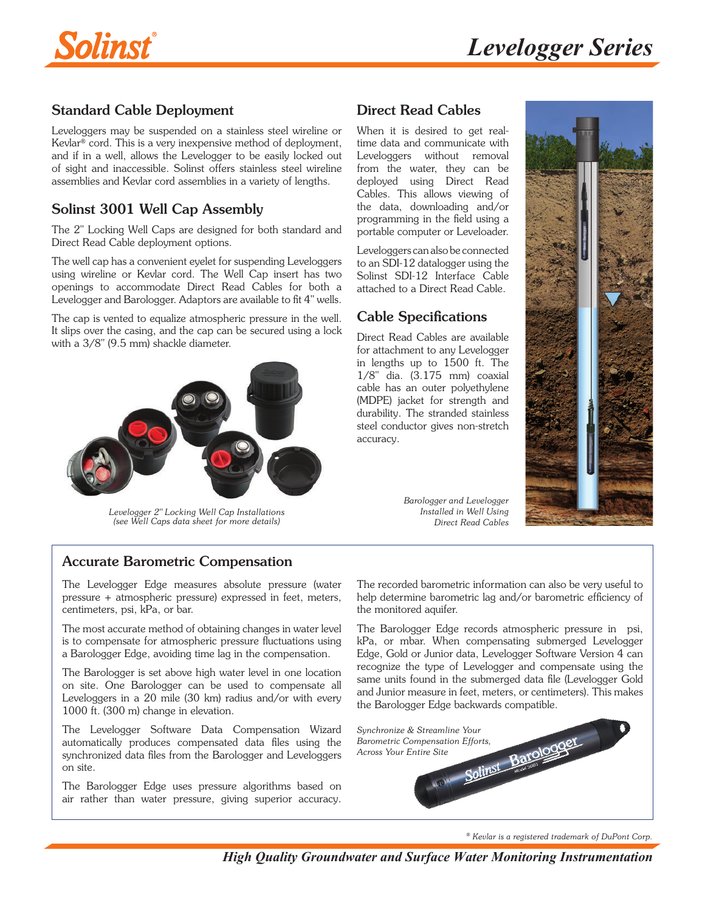



## Standard Cable Deployment

Leveloggers may be suspended on a stainless steel wireline or Kevlar® cord. This is a very inexpensive method of deployment, and if in a well, allows the Levelogger to be easily locked out of sight and inaccessible. Solinst offers stainless steel wireline assemblies and Kevlar cord assemblies in a variety of lengths.

## Solinst 3001 Well Cap Assembly

The 2" Locking Well Caps are designed for both standard and Direct Read Cable deployment options.

The well cap has a convenient eyelet for suspending Leveloggers using wireline or Kevlar cord. The Well Cap insert has two openings to accommodate Direct Read Cables for both a Levelogger and Barologger. Adaptors are available to fit 4" wells.

The cap is vented to equalize atmospheric pressure in the well. [It slips over the casing, and the cap can be secured using a lock](http://www.solinst.com/Prod/Well-Caps/Locking-Well-Caps.html?sc_cid=3001edgeDS-well-caps)  with a 3/8" (9.5 mm) shackle diameter.



*Levelogger 2" Locking Well Cap Installations (see Well Caps data sheet for more details)*

### Direct Read Cables

When it is desired to get realtime data and communicate with Leveloggers without removal from the water, they can be deployed using Direct Read Cables. This allows viewing of the data, downloading and/or programming in the field using a portable computer or Leveloader.

Leveloggers can also be connected to an SDI-12 datalogger using the Solinst SDI-12 Interface Cable attached to a Direct Read Cable.

### Cable Specifications

Direct Read Cables are available for attachment to any Levelogger in lengths up to 1500 ft. The 1/8" dia. (3.175 mm) coaxial cable has an outer polyethylene (MDPE) jacket for strength and durability. The stranded stainless steel conductor gives non-stretch accuracy.

> *Barologger and Levelogger Installed in Well Using Direct Read Cables*



### Accurate Barometric Compensation

The Levelogger Edge measures absolute pressure (water pressure + atmospheric pressure) expressed in feet, meters, centimeters, psi, kPa, or bar.

The most accurate method of obtaining changes in water level is to compensate for atmospheric pressure fluctuations using a Barologger Edge, avoiding time lag in the compensation.

The Barologger is set above high water level in one location on site. One Barologger can be used to compensate all Leveloggers in a 20 mile (30 km) radius and/or with every 1000 ft. (300 m) change in elevation.

The Levelogger Software Data Compensation Wizard automatically produces compensated data files using the synchronized data files from the Barologger and Leveloggers on site.

The Barologger Edge uses pressure algorithms based on air rather than water pressure, giving superior accuracy. The recorded barometric information can also be very useful to help determine barometric lag and/or barometric efficiency of the monitored aquifer.

The Barologger Edge records atmospheric pressure in psi, kPa, or mbar. When compensating submerged Levelogger Edge, Gold or Junior data, Levelogger Software Version 4 can recognize the type of Levelogger and compensate using the same units found in the submerged data file (Levelogger Gold and Junior measure in feet, meters, or centimeters). This makes the Barologger Edge backwards compatible.



*<sup>®</sup> Kevlar is a registered trademark of DuPont Corp.*

*High Quality Groundwater and Surface Water Monitoring Instrumentation*